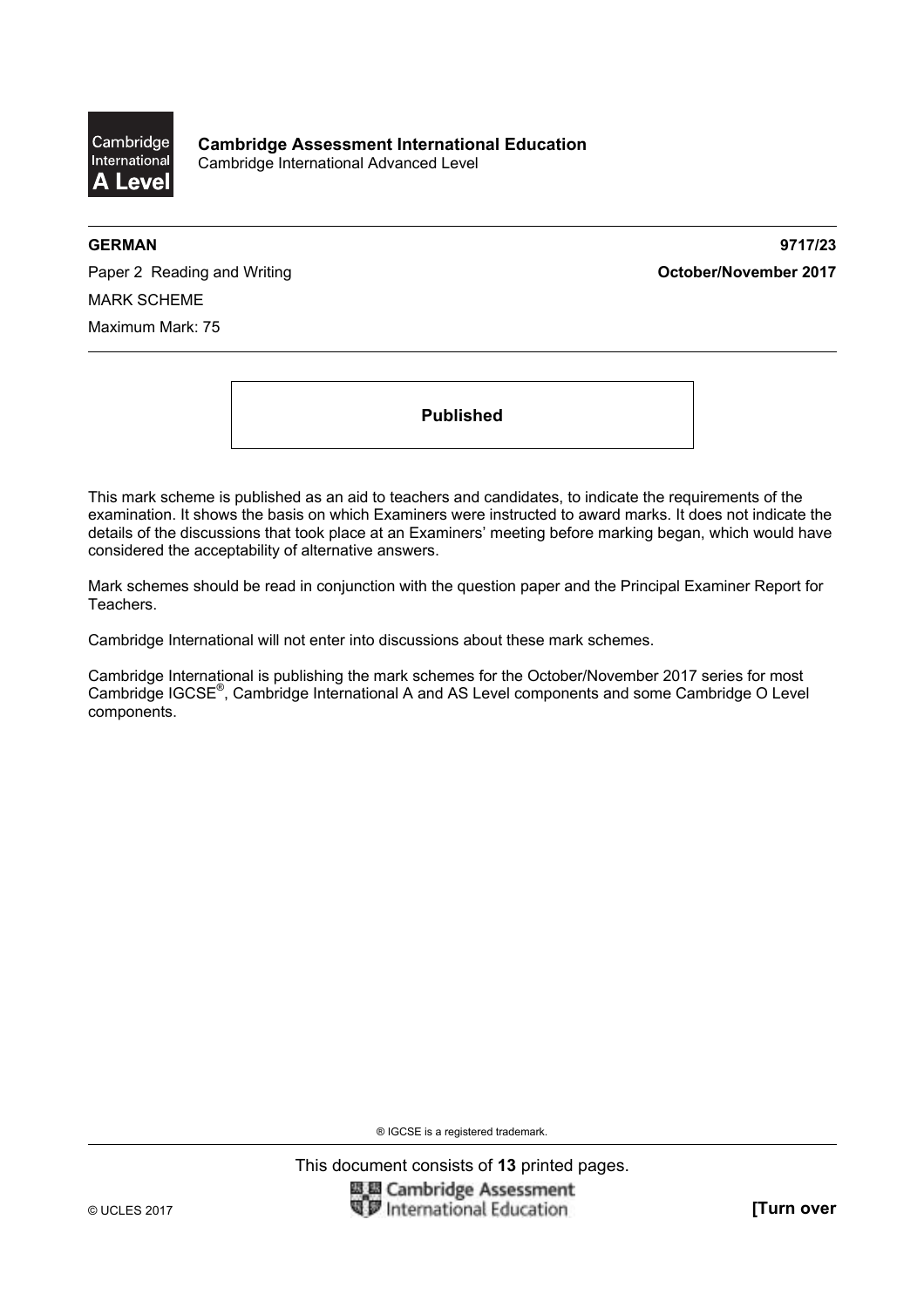

**GERMAN 9717/23** 

Paper 2 Reading and Writing **Contact Act and Act and Act and Act and Act and Act of Paper 2017** MARK SCHEME Maximum Mark: 75

**Published** 

This mark scheme is published as an aid to teachers and candidates, to indicate the requirements of the examination. It shows the basis on which Examiners were instructed to award marks. It does not indicate the details of the discussions that took place at an Examiners' meeting before marking began, which would have considered the acceptability of alternative answers.

Mark schemes should be read in conjunction with the question paper and the Principal Examiner Report for Teachers.

Cambridge International will not enter into discussions about these mark schemes.

Cambridge International is publishing the mark schemes for the October/November 2017 series for most Cambridge IGCSE®, Cambridge International A and AS Level components and some Cambridge O Level components.

® IGCSE is a registered trademark.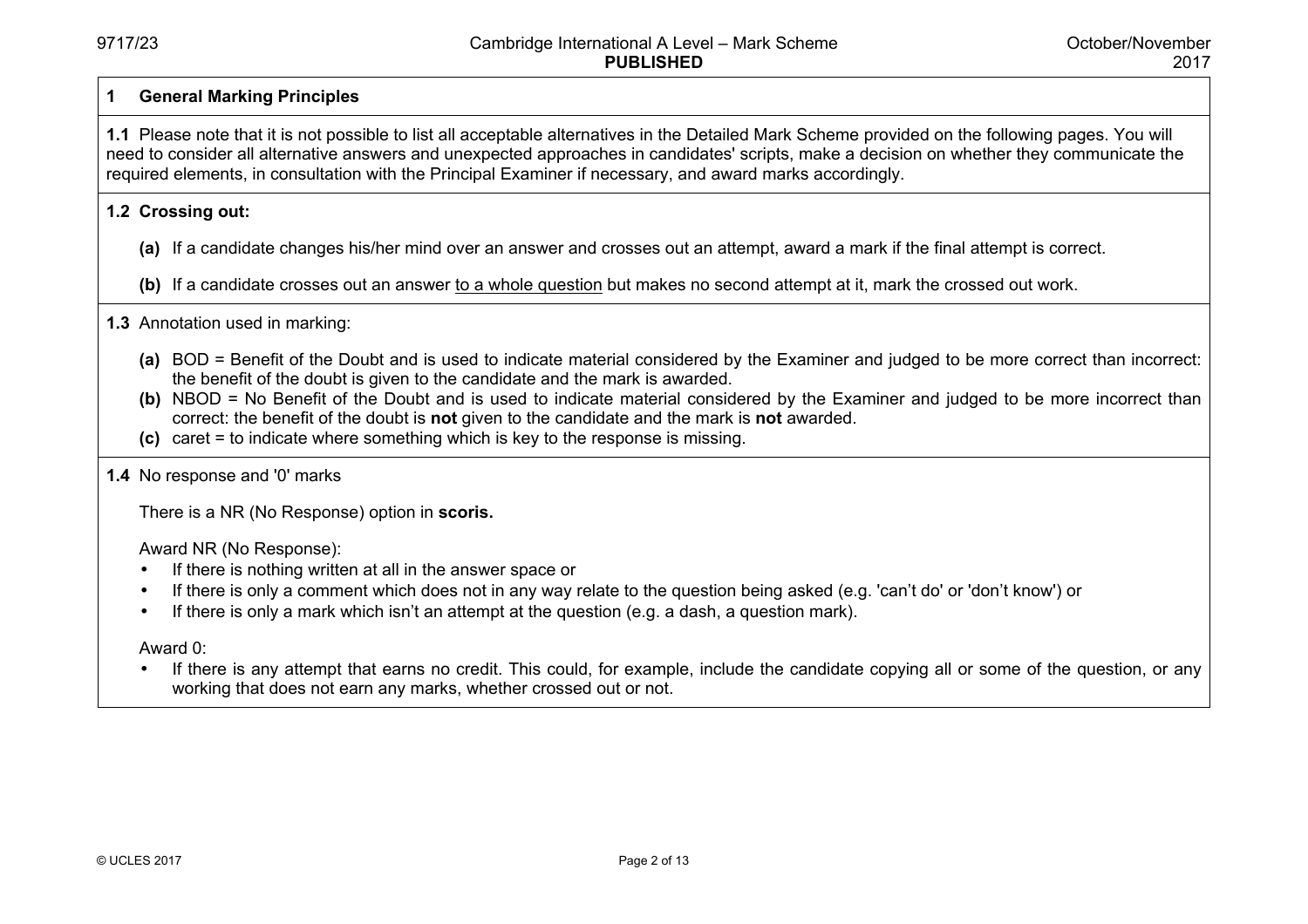## **1 General Marking Principles**

**1.1** Please note that it is not possible to list all acceptable alternatives in the Detailed Mark Scheme provided on the following pages. You will need to consider all alternative answers and unexpected approaches in candidates' scripts, make a decision on whether they communicate the required elements, in consultation with the Principal Examiner if necessary, and award marks accordingly.

## **1.2 Crossing out:**

- **(a)** If a candidate changes his/her mind over an answer and crosses out an attempt, award a mark if the final attempt is correct.
- **(b)** If a candidate crosses out an answer to a whole question but makes no second attempt at it, mark the crossed out work.

# **1.3** Annotation used in marking:

- **(a)** BOD = Benefit of the Doubt and is used to indicate material considered by the Examiner and judged to be more correct than incorrect: the benefit of the doubt is given to the candidate and the mark is awarded.
- **(b)** NBOD = No Benefit of the Doubt and is used to indicate material considered by the Examiner and judged to be more incorrect than correct: the benefit of the doubt is **not** given to the candidate and the mark is **not** awarded.
- **(c)** caret = to indicate where something which is key to the response is missing.

## **1.4** No response and '0' marks

There is a NR (No Response) option in **scoris.** 

#### Award NR (No Response):

- If there is nothing written at all in the answer space or
- If there is only a comment which does not in any way relate to the question being asked (e.g. 'can't do' or 'don't know') or
- If there is only a mark which isn't an attempt at the question (e.g. a dash, a question mark).

Award 0:

• If there is any attempt that earns no credit. This could, for example, include the candidate copying all or some of the question, or any working that does not earn any marks, whether crossed out or not.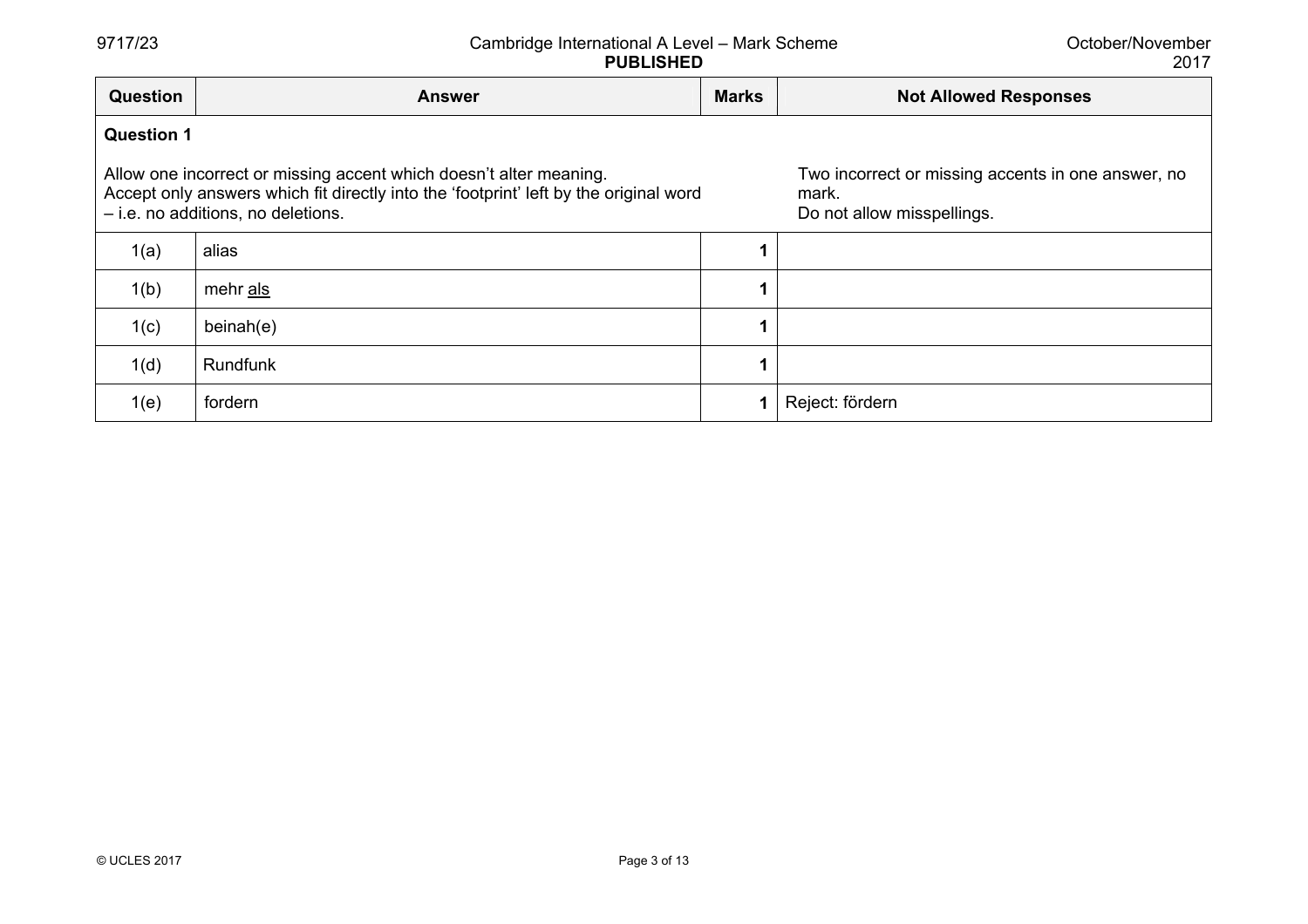October/November 2017

| <b>Question</b>   | <b>Answer</b>                                                                                                                                                                                     | <b>Marks</b> | <b>Not Allowed Responses</b>                                                              |  |  |
|-------------------|---------------------------------------------------------------------------------------------------------------------------------------------------------------------------------------------------|--------------|-------------------------------------------------------------------------------------------|--|--|
| <b>Question 1</b> |                                                                                                                                                                                                   |              |                                                                                           |  |  |
|                   | Allow one incorrect or missing accent which doesn't alter meaning.<br>Accept only answers which fit directly into the 'footprint' left by the original word<br>- i.e. no additions, no deletions. |              | Two incorrect or missing accents in one answer, no<br>mark.<br>Do not allow misspellings. |  |  |
| 1(a)              | alias                                                                                                                                                                                             |              |                                                                                           |  |  |
| 1(b)              | mehr als                                                                                                                                                                                          |              |                                                                                           |  |  |
| 1(c)              | beinah(e)                                                                                                                                                                                         |              |                                                                                           |  |  |
| 1(d)              | Rundfunk                                                                                                                                                                                          |              |                                                                                           |  |  |
| 1(e)              | fordern                                                                                                                                                                                           | 1            | Reject: fördern                                                                           |  |  |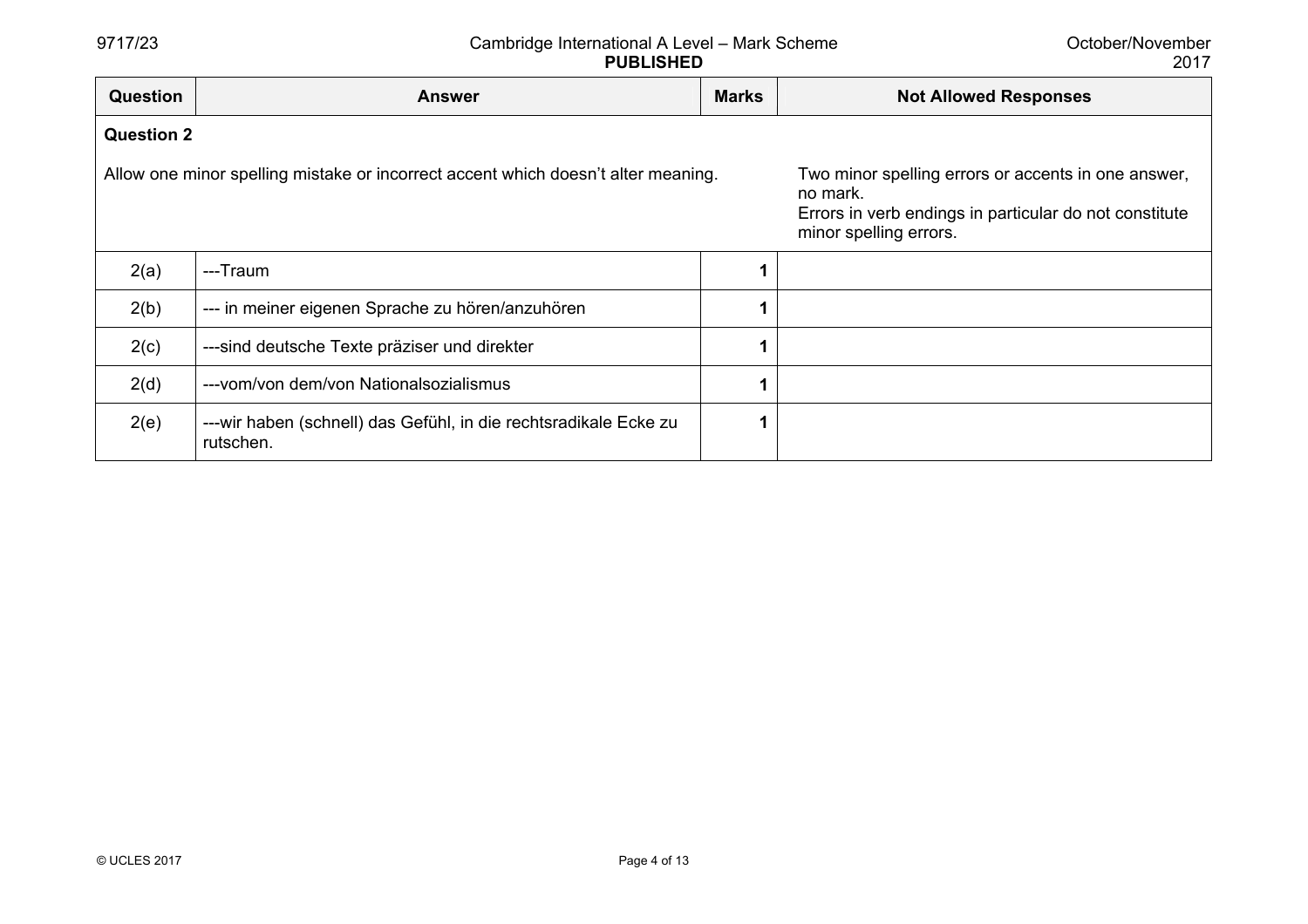| <b>Question</b>   | <b>Answer</b>                                                                     | <b>Marks</b> | <b>Not Allowed Responses</b>                                                                                                                        |
|-------------------|-----------------------------------------------------------------------------------|--------------|-----------------------------------------------------------------------------------------------------------------------------------------------------|
| <b>Question 2</b> |                                                                                   |              |                                                                                                                                                     |
|                   | Allow one minor spelling mistake or incorrect accent which doesn't alter meaning. |              | Two minor spelling errors or accents in one answer,<br>no mark.<br>Errors in verb endings in particular do not constitute<br>minor spelling errors. |
| 2(a)              | ---Traum                                                                          |              |                                                                                                                                                     |
| 2(b)              | --- in meiner eigenen Sprache zu hören/anzuhören                                  |              |                                                                                                                                                     |
| 2(c)              | ---sind deutsche Texte präziser und direkter                                      |              |                                                                                                                                                     |
| 2(d)              | --- vom/von dem/von Nationalsozialismus                                           |              |                                                                                                                                                     |
| 2(e)              | ---wir haben (schnell) das Gefühl, in die rechtsradikale Ecke zu<br>rutschen.     |              |                                                                                                                                                     |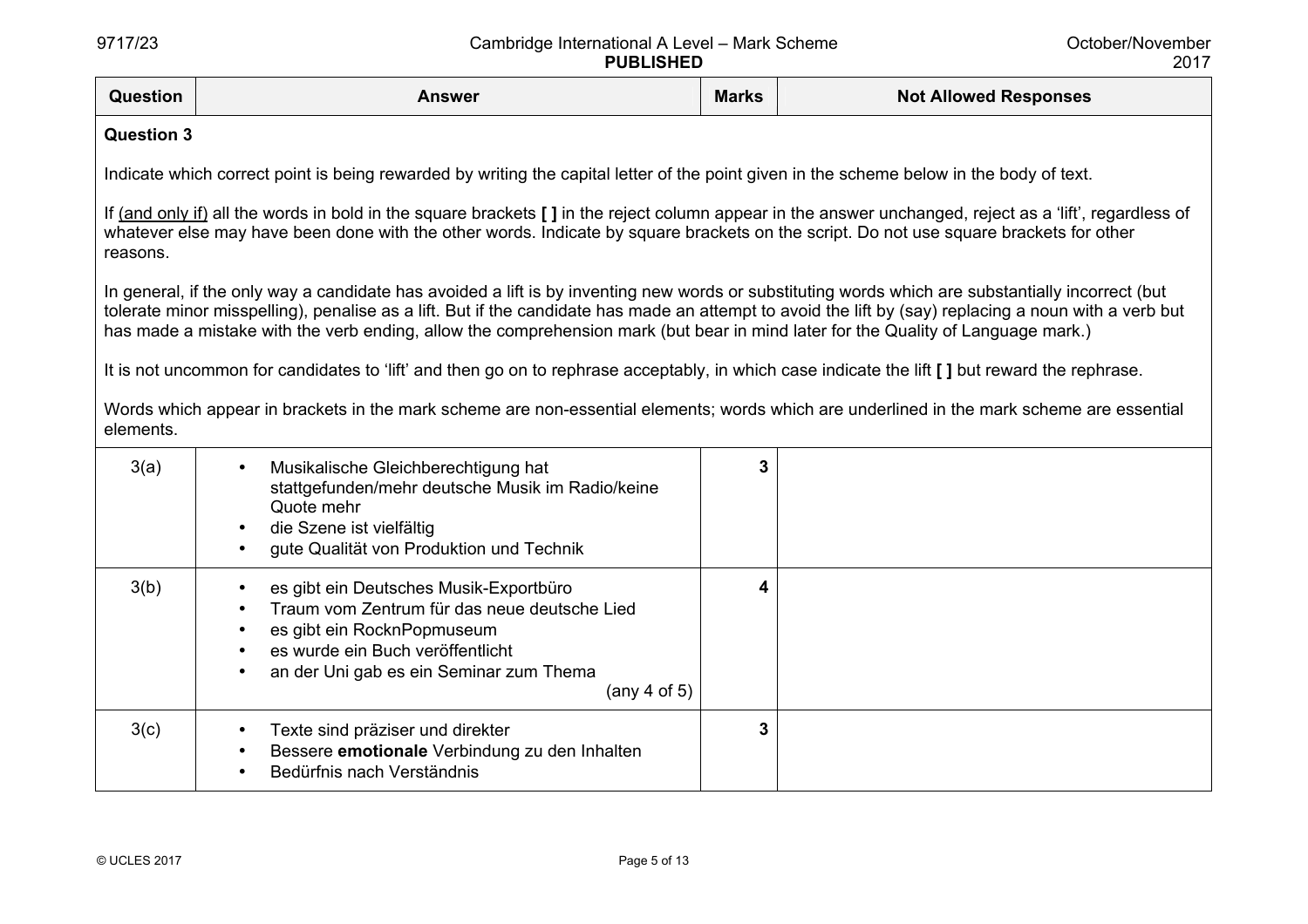| Question          | <b>Answer</b>                                                                                                                                                                                                                                                                                                                                                                                                                                  | <b>Marks</b> | <b>Not Allowed Responses</b> |  |
|-------------------|------------------------------------------------------------------------------------------------------------------------------------------------------------------------------------------------------------------------------------------------------------------------------------------------------------------------------------------------------------------------------------------------------------------------------------------------|--------------|------------------------------|--|
| <b>Question 3</b> |                                                                                                                                                                                                                                                                                                                                                                                                                                                |              |                              |  |
|                   | Indicate which correct point is being rewarded by writing the capital letter of the point given in the scheme below in the body of text.                                                                                                                                                                                                                                                                                                       |              |                              |  |
| reasons.          | If (and only if) all the words in bold in the square brackets [ ] in the reject column appear in the answer unchanged, reject as a 'lift', regardless of<br>whatever else may have been done with the other words. Indicate by square brackets on the script. Do not use square brackets for other                                                                                                                                             |              |                              |  |
|                   | In general, if the only way a candidate has avoided a lift is by inventing new words or substituting words which are substantially incorrect (but<br>tolerate minor misspelling), penalise as a lift. But if the candidate has made an attempt to avoid the lift by (say) replacing a noun with a verb but<br>has made a mistake with the verb ending, allow the comprehension mark (but bear in mind later for the Quality of Language mark.) |              |                              |  |
|                   | It is not uncommon for candidates to 'lift' and then go on to rephrase acceptably, in which case indicate the lift [] but reward the rephrase.                                                                                                                                                                                                                                                                                                 |              |                              |  |
| elements.         | Words which appear in brackets in the mark scheme are non-essential elements; words which are underlined in the mark scheme are essential                                                                                                                                                                                                                                                                                                      |              |                              |  |
| 3(a)              | Musikalische Gleichberechtigung hat<br>stattgefunden/mehr deutsche Musik im Radio/keine<br>Quote mehr                                                                                                                                                                                                                                                                                                                                          | 3            |                              |  |
|                   | die Szene ist vielfältig<br>gute Qualität von Produktion und Technik                                                                                                                                                                                                                                                                                                                                                                           |              |                              |  |
| 3(b)              | es gibt ein Deutsches Musik-Exportbüro<br>Traum vom Zentrum für das neue deutsche Lied<br>es gibt ein RocknPopmuseum<br>es wurde ein Buch veröffentlicht                                                                                                                                                                                                                                                                                       | 4            |                              |  |
|                   | an der Uni gab es ein Seminar zum Thema<br>$(\text{any } 4 \text{ of } 5)$                                                                                                                                                                                                                                                                                                                                                                     |              |                              |  |
| 3(c)              | Texte sind präziser und direkter<br>Bessere emotionale Verbindung zu den Inhalten<br>Bedürfnis nach Verständnis                                                                                                                                                                                                                                                                                                                                | 3            |                              |  |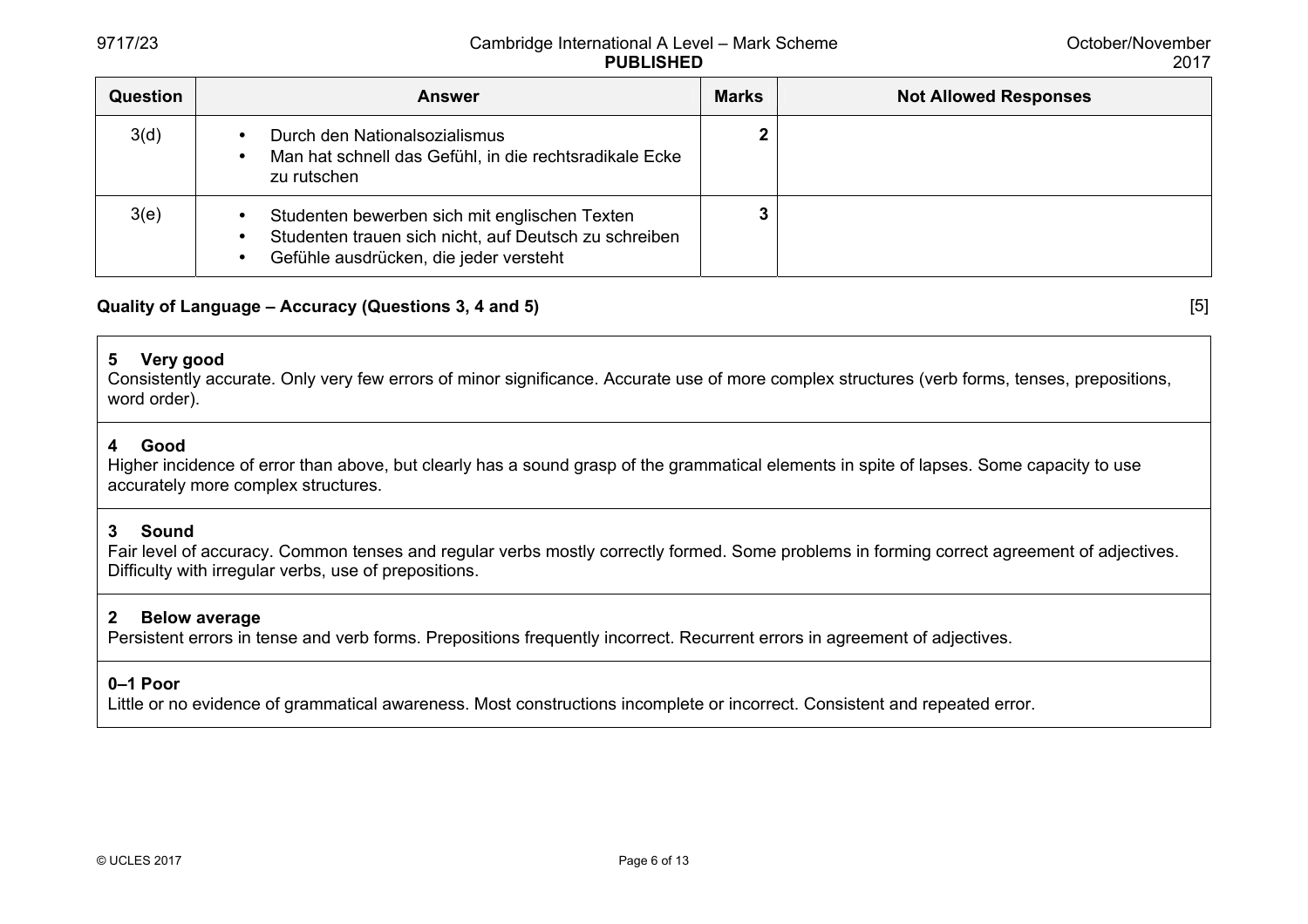| <b>Question</b> | <b>Answer</b>                                                                                                                                    | <b>Marks</b> | <b>Not Allowed Responses</b> |
|-----------------|--------------------------------------------------------------------------------------------------------------------------------------------------|--------------|------------------------------|
| 3(d)            | Durch den Nationalsozialismus<br>Man hat schnell das Gefühl, in die rechtsradikale Ecke<br>zu rutschen                                           |              |                              |
| 3(e)            | Studenten bewerben sich mit englischen Texten<br>Studenten trauen sich nicht, auf Deutsch zu schreiben<br>Gefühle ausdrücken, die jeder versteht |              |                              |

# **Quality of Language – Accuracy (Questions 3, 4 and 5)** [5]

# **5 Very good**

Consistently accurate. Only very few errors of minor significance. Accurate use of more complex structures (verb forms, tenses, prepositions, word order).

## **4 Good**

Higher incidence of error than above, but clearly has a sound grasp of the grammatical elements in spite of lapses. Some capacity to use accurately more complex structures.

## **3 Sound**

Fair level of accuracy. Common tenses and regular verbs mostly correctly formed. Some problems in forming correct agreement of adjectives. Difficulty with irregular verbs, use of prepositions.

## **2 Below average**

Persistent errors in tense and verb forms. Prepositions frequently incorrect. Recurrent errors in agreement of adjectives.

# **0–1 Poor**

Little or no evidence of grammatical awareness. Most constructions incomplete or incorrect. Consistent and repeated error.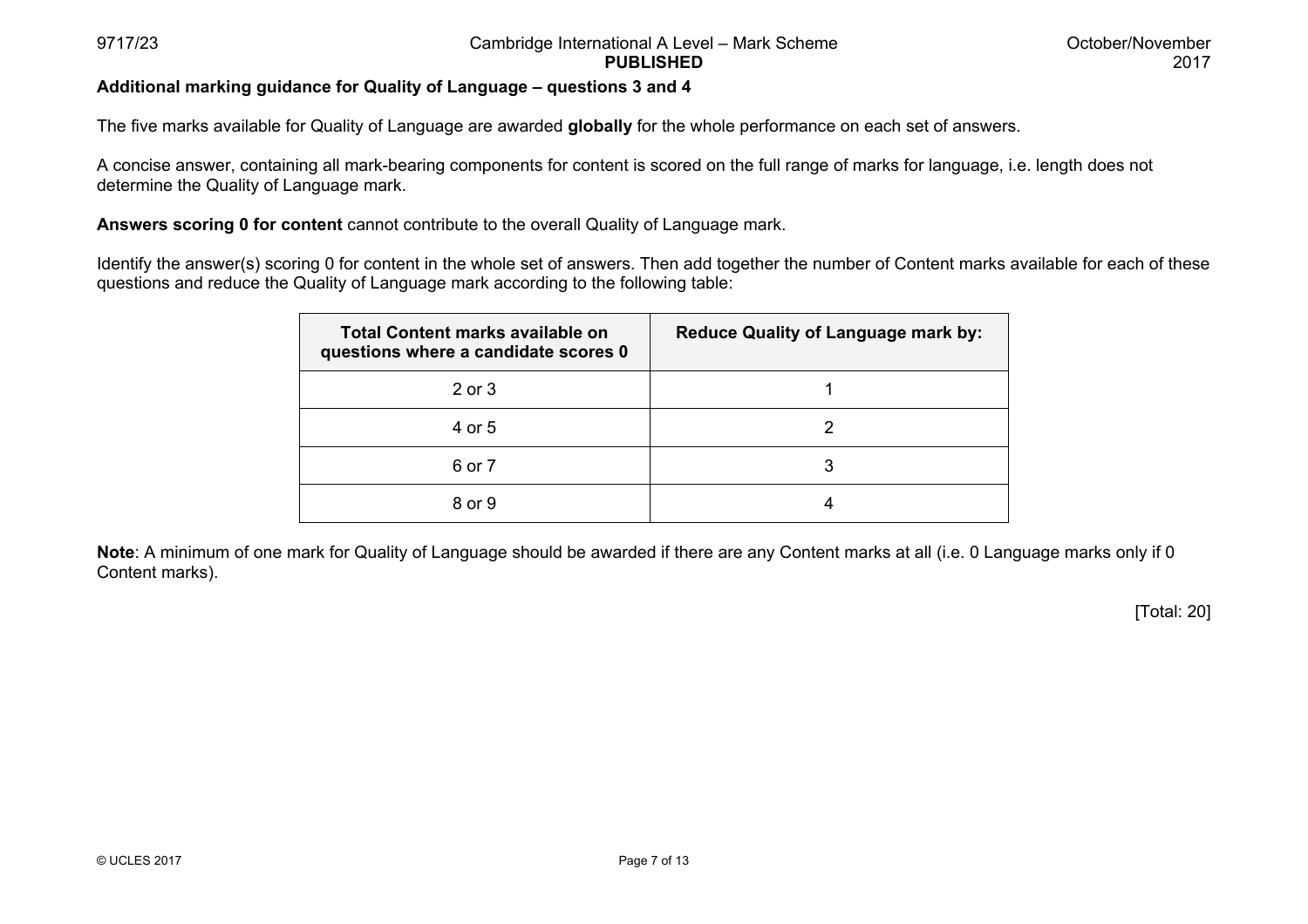## **Additional marking guidance for Quality of Language – questions 3 and 4**

The five marks available for Quality of Language are awarded **globally** for the whole performance on each set of answers.

A concise answer, containing all mark-bearing components for content is scored on the full range of marks for language, i.e. length does not determine the Quality of Language mark.

**Answers scoring 0 for content** cannot contribute to the overall Quality of Language mark.

Identify the answer(s) scoring 0 for content in the whole set of answers. Then add together the number of Content marks available for each of these questions and reduce the Quality of Language mark according to the following table:

| Total Content marks available on<br>questions where a candidate scores 0 | <b>Reduce Quality of Language mark by:</b> |
|--------------------------------------------------------------------------|--------------------------------------------|
| 2 or 3                                                                   |                                            |
| 4 or 5                                                                   | 2                                          |
| 6 or 7                                                                   | 3                                          |
| 8 or 9                                                                   |                                            |

**Note**: A minimum of one mark for Quality of Language should be awarded if there are any Content marks at all (i.e. 0 Language marks only if 0 Content marks).

[Total: 20]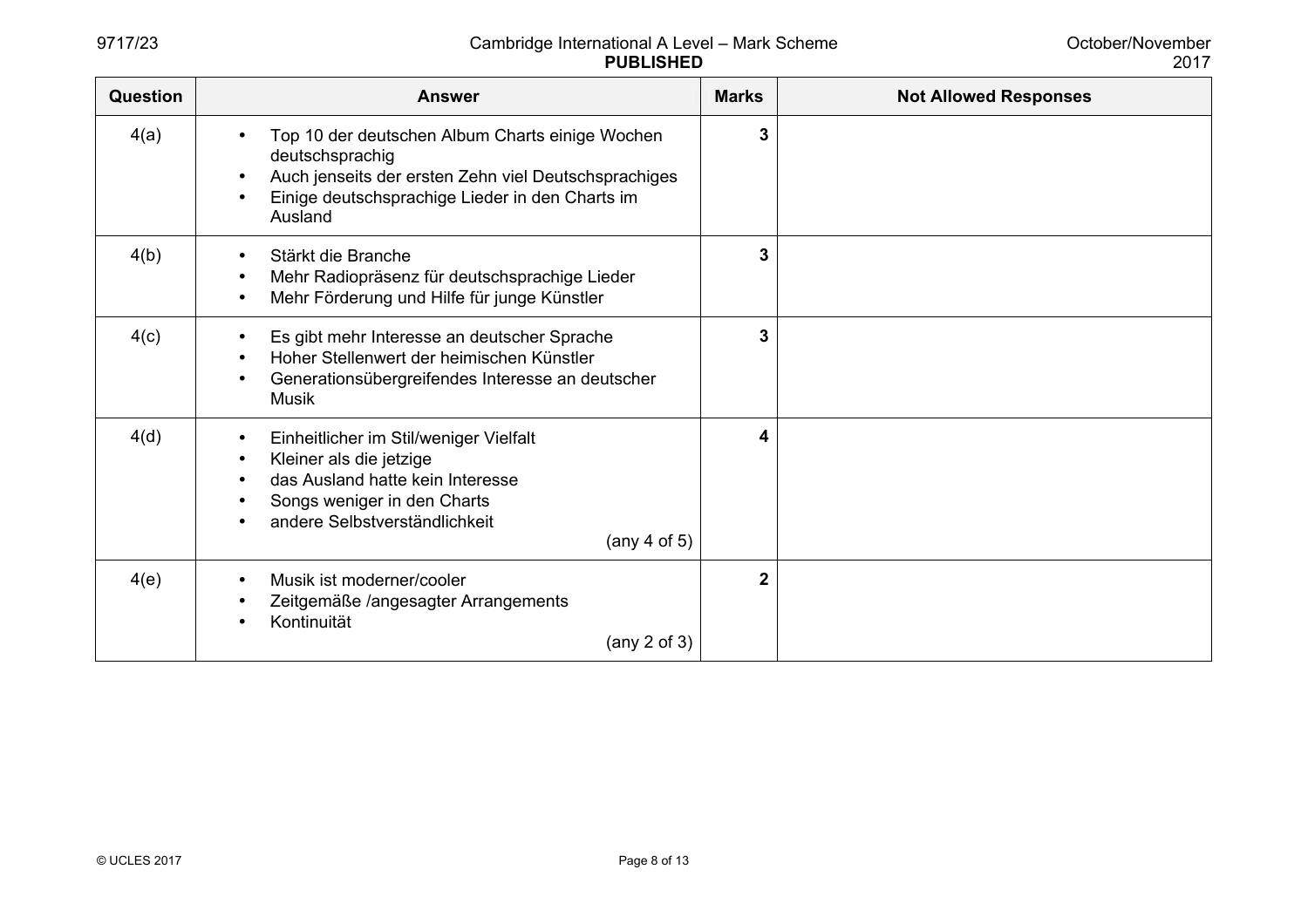| <b>Question</b> | <b>Answer</b>                                                                                                                                                                                                                      | <b>Marks</b>   | <b>Not Allowed Responses</b> |
|-----------------|------------------------------------------------------------------------------------------------------------------------------------------------------------------------------------------------------------------------------------|----------------|------------------------------|
| 4(a)            | Top 10 der deutschen Album Charts einige Wochen<br>deutschsprachig<br>Auch jenseits der ersten Zehn viel Deutschsprachiges<br>$\bullet$<br>Einige deutschsprachige Lieder in den Charts im<br>Ausland                              | 3              |                              |
| 4(b)            | Stärkt die Branche<br>$\bullet$<br>Mehr Radiopräsenz für deutschsprachige Lieder<br>$\bullet$<br>Mehr Förderung und Hilfe für junge Künstler                                                                                       | 3              |                              |
| 4(c)            | Es gibt mehr Interesse an deutscher Sprache<br>$\bullet$<br>Hoher Stellenwert der heimischen Künstler<br>Generationsübergreifendes Interesse an deutscher<br>$\bullet$<br><b>Musik</b>                                             | 3              |                              |
| 4(d)            | Einheitlicher im Stil/weniger Vielfalt<br>$\bullet$<br>Kleiner als die jetzige<br>$\bullet$<br>das Ausland hatte kein Interesse<br>Songs weniger in den Charts<br>andere Selbstverständlichkeit<br>$(\text{any } 4 \text{ of } 5)$ | 4              |                              |
| 4(e)            | Musik ist moderner/cooler<br>$\bullet$<br>Zeitgemäße /angesagter Arrangements<br>Kontinuität<br>(any $2$ of $3$ )                                                                                                                  | $\overline{2}$ |                              |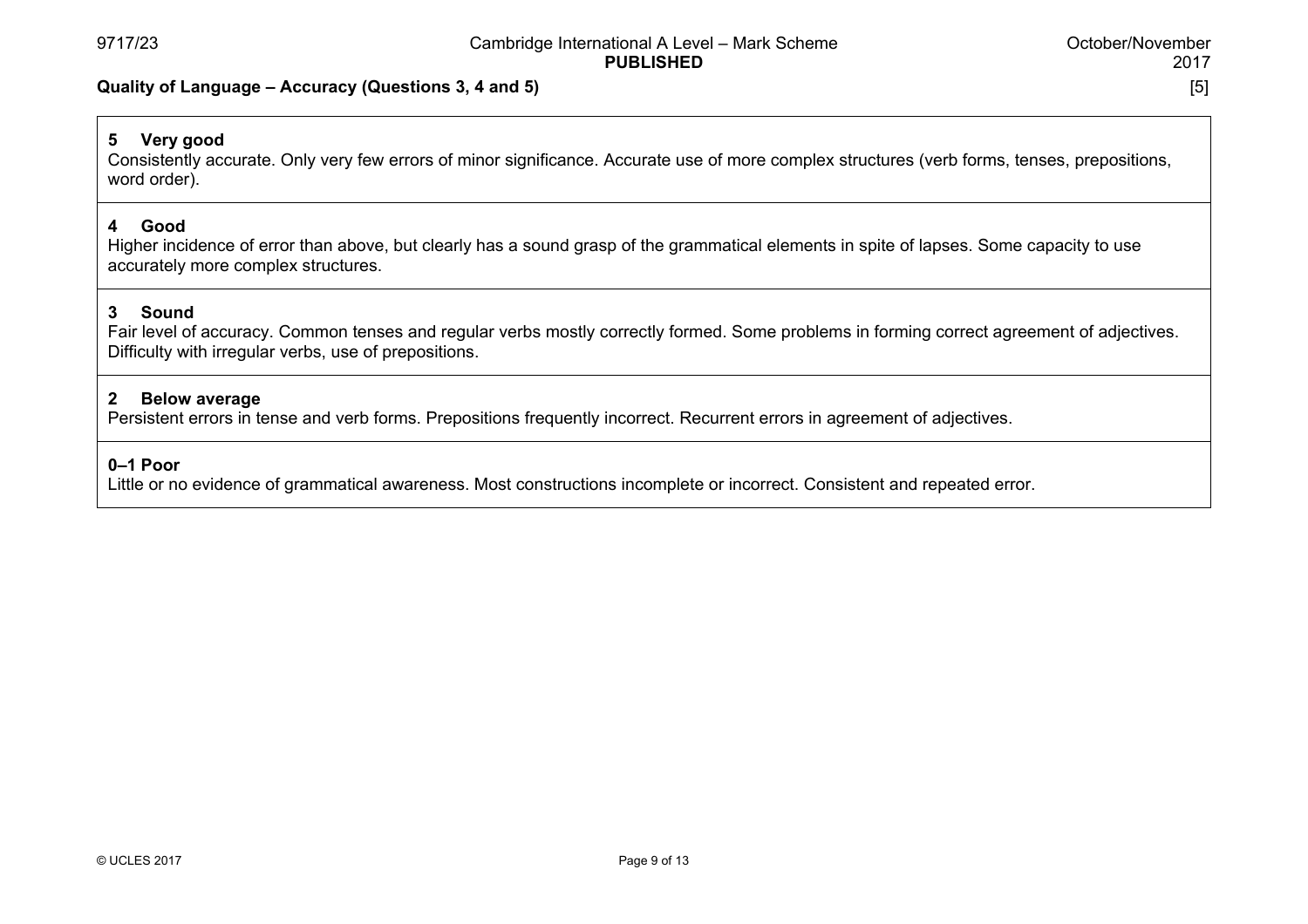#### **Quality of Language – Accuracy (Questions 3, 4 and 5)** [5]

# **5 Very good**

Consistently accurate. Only very few errors of minor significance. Accurate use of more complex structures (verb forms, tenses, prepositions, word order).

#### **4 Good**

Higher incidence of error than above, but clearly has a sound grasp of the grammatical elements in spite of lapses. Some capacity to use accurately more complex structures.

## **3 Sound**

Fair level of accuracy. Common tenses and regular verbs mostly correctly formed. Some problems in forming correct agreement of adjectives. Difficulty with irregular verbs, use of prepositions.

#### **2 Below average**

Persistent errors in tense and verb forms. Prepositions frequently incorrect. Recurrent errors in agreement of adjectives.

#### **0–1 Poor**

Little or no evidence of grammatical awareness. Most constructions incomplete or incorrect. Consistent and repeated error.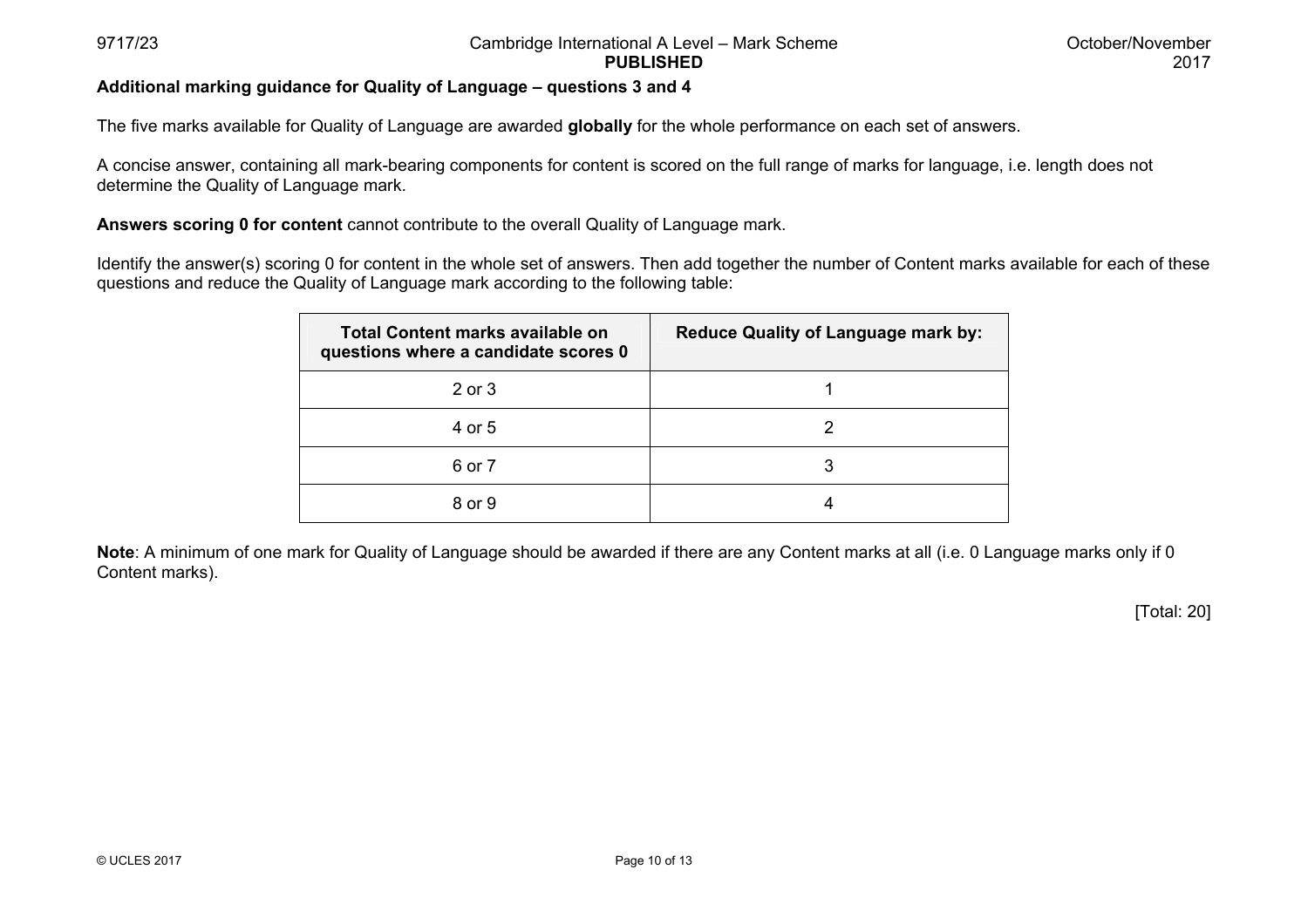## **Additional marking guidance for Quality of Language – questions 3 and 4**

The five marks available for Quality of Language are awarded **globally** for the whole performance on each set of answers.

A concise answer, containing all mark-bearing components for content is scored on the full range of marks for language, i.e. length does not determine the Quality of Language mark.

**Answers scoring 0 for content** cannot contribute to the overall Quality of Language mark.

Identify the answer(s) scoring 0 for content in the whole set of answers. Then add together the number of Content marks available for each of these questions and reduce the Quality of Language mark according to the following table:

| Total Content marks available on<br>questions where a candidate scores 0 | <b>Reduce Quality of Language mark by:</b> |
|--------------------------------------------------------------------------|--------------------------------------------|
| 2 or 3                                                                   |                                            |
| 4 or 5                                                                   | 2                                          |
| 6 or 7                                                                   | 3                                          |
| 8 or 9                                                                   |                                            |

**Note**: A minimum of one mark for Quality of Language should be awarded if there are any Content marks at all (i.e. 0 Language marks only if 0 Content marks).

[Total: 20]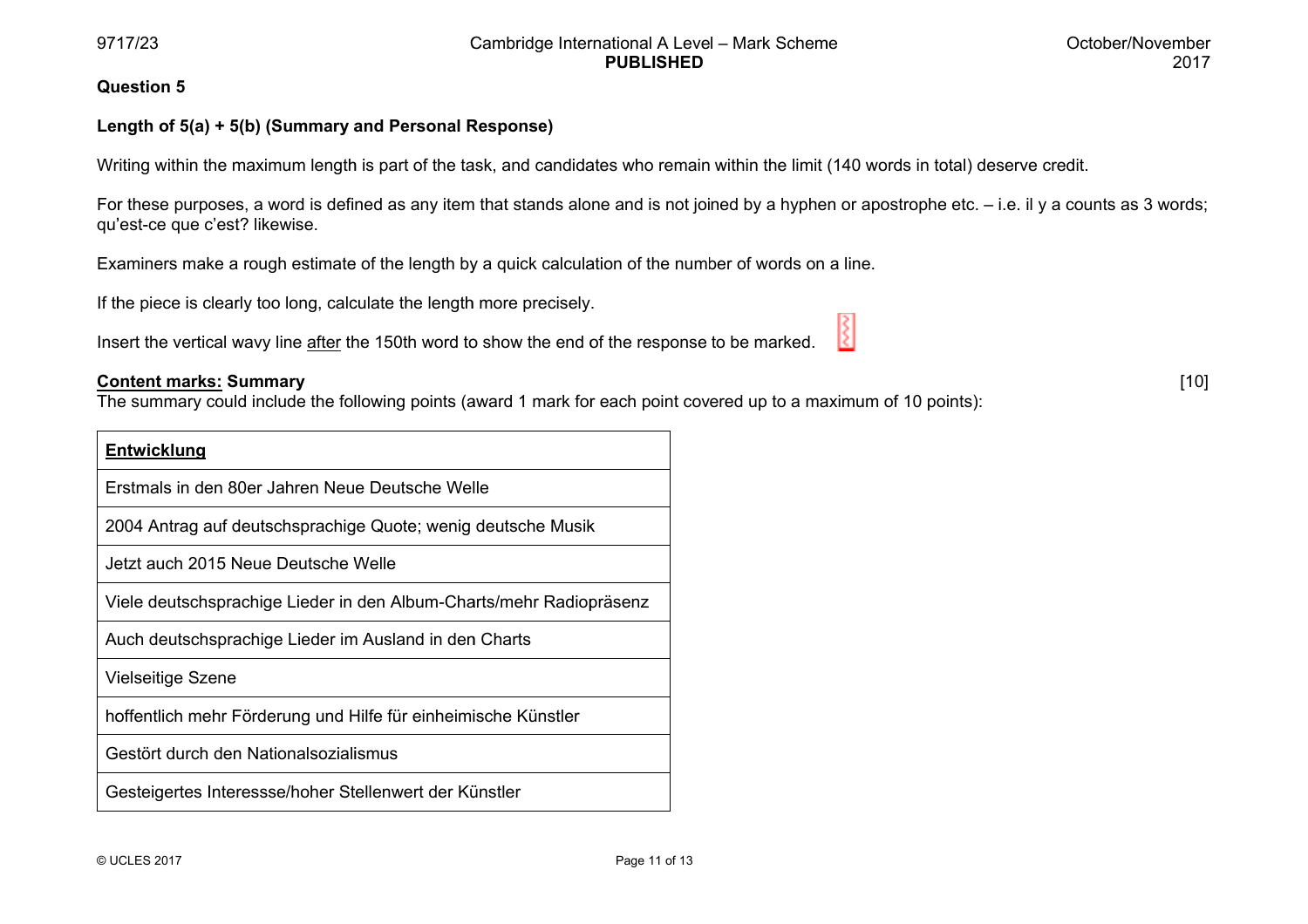[ [10]

#### **Qu uestion 5**

## **Len ngth of 5(a) + 5 5(b) (Summary a and Personal R Response)**

Writing within the maximum length is part of the task, and candidates who remain within the limit (140 words in total) deserve credit.

For these purposes, a word is defined as any item that stands alone and is not joined by a hyphen or apostrophe etc. – i.e. il y a counts as 3 words; qu'est-ce que c'est? likewise.

Examiners make a rough estimate of the length by a quick calculation of the number of words on a line.

If the piece is clearly too long, calculate the length more precisely.

Insert the vertical wavy line <u>after</u> the 150th word to show the end of the response to be marked.

#### **Coontent marks: SSummary**

The summary could include the following points (award 1 mark for each point covered up to a maximum of 10 points):

| <b>Entwicklung</b>                                                  |
|---------------------------------------------------------------------|
| Erstmals in den 80er Jahren Neue Deutsche Welle                     |
| 2004 Antrag auf deutschsprachige Quote; wenig deutsche Musik        |
| Jetzt auch 2015 Neue Deutsche Welle                                 |
| Viele deutschsprachige Lieder in den Album-Charts/mehr Radiopräsenz |
| Auch deutschsprachige Lieder im Ausland in den Charts               |
| <b>Vielseitige Szene</b>                                            |
| hoffentlich mehr Förderung und Hilfe für einheimische Künstler      |
| Gestört durch den Nationalsozialismus                               |
| Gesteigertes Interessse/hoher Stellenwert der Künstler              |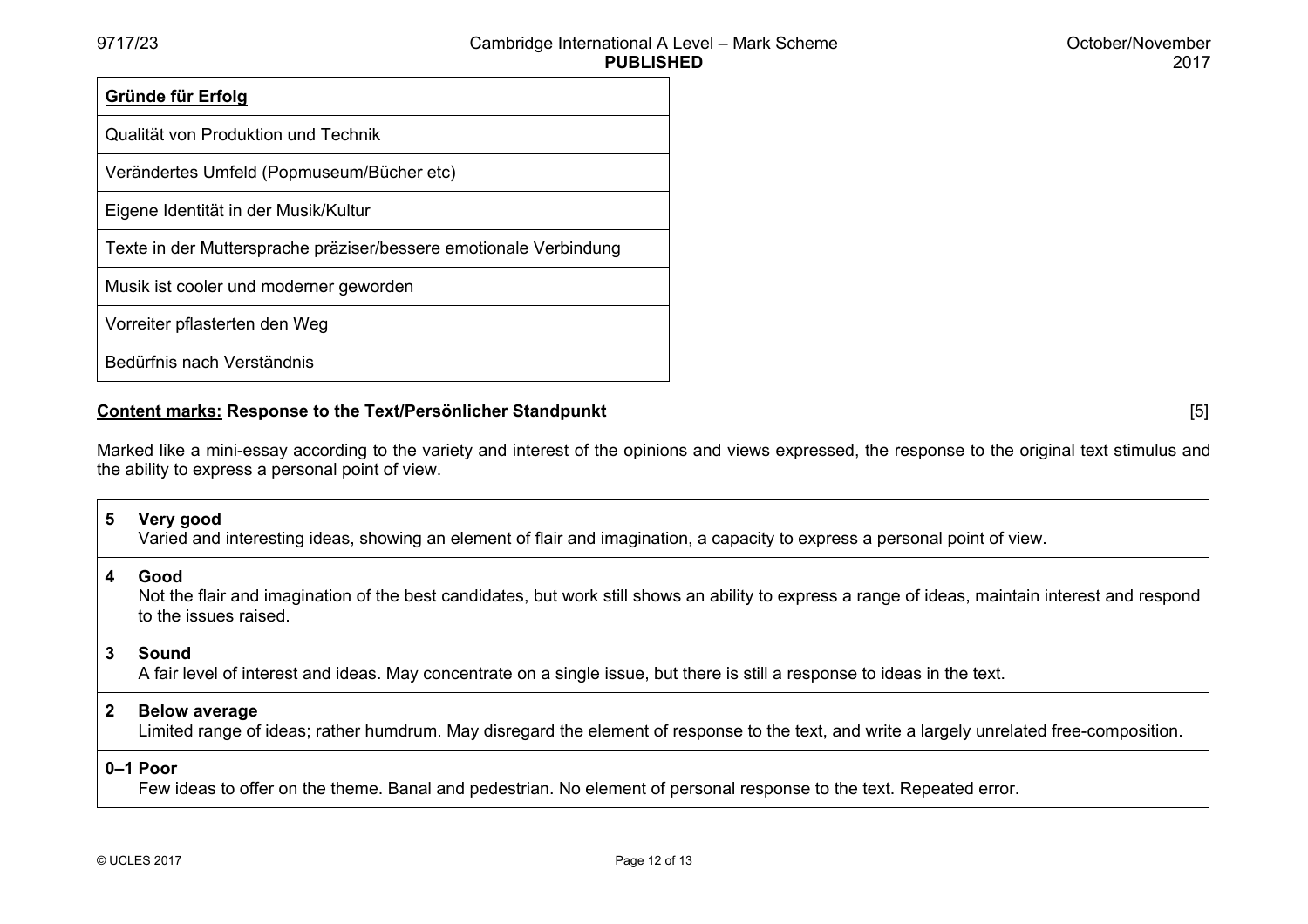| Gründe für Erfolg                                                 |
|-------------------------------------------------------------------|
| Qualität von Produktion und Technik                               |
| Verändertes Umfeld (Popmuseum/Bücher etc)                         |
| Eigene Identität in der Musik/Kultur                              |
| Texte in der Muttersprache präziser/bessere emotionale Verbindung |
| Musik ist cooler und moderner geworden                            |
| Vorreiter pflasterten den Weg                                     |
| Bedürfnis nach Verständnis                                        |

# **Content marks: Response to the Text/Persönlicher Standpunkt** [5]

Marked like a mini-essay according to the variety and interest of the opinions and views expressed, the response to the original text stimulus and the ability to express a personal point of view.

# **5 Very good**

Varied and interesting ideas, showing an element of flair and imagination, a capacity to express a personal point of view.

#### **4 Good**

 Not the flair and imagination of the best candidates, but work still shows an ability to express a range of ideas, maintain interest and respond to the issues raised.

#### **3 Sound**

A fair level of interest and ideas. May concentrate on a single issue, but there is still a response to ideas in the text.

#### **2 Below average**

Limited range of ideas; rather humdrum. May disregard the element of response to the text, and write a largely unrelated free-composition.

## **0–1 Poor**

Few ideas to offer on the theme. Banal and pedestrian. No element of personal response to the text. Repeated error.